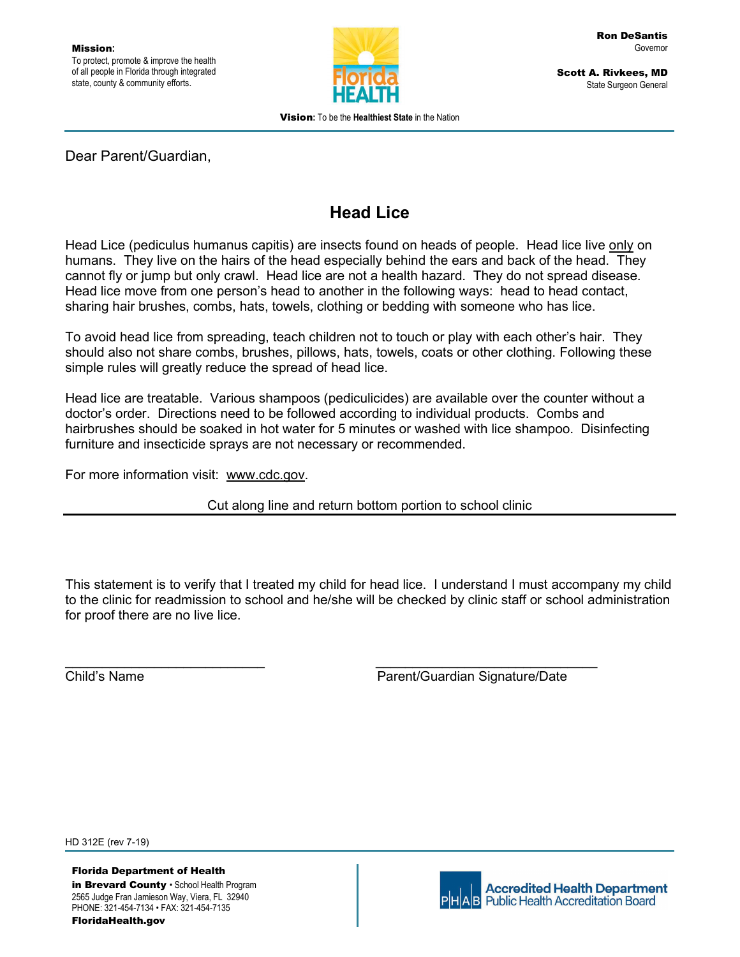

Scott A. Rivkees, MD State Surgeon General

Vision: To be the Healthiest State in the Nation

### Dear Parent/Guardian,

## Head Lice

Head Lice (pediculus humanus capitis) are insects found on heads of people. Head lice live only on humans. They live on the hairs of the head especially behind the ears and back of the head. They cannot fly or jump but only crawl. Head lice are not a health hazard. They do not spread disease. Head lice move from one person's head to another in the following ways: head to head contact, sharing hair brushes, combs, hats, towels, clothing or bedding with someone who has lice.

To avoid head lice from spreading, teach children not to touch or play with each other's hair. They should also not share combs, brushes, pillows, hats, towels, coats or other clothing. Following these simple rules will greatly reduce the spread of head lice.

Head lice are treatable. Various shampoos (pediculicides) are available over the counter without a doctor's order. Directions need to be followed according to individual products. Combs and hairbrushes should be soaked in hot water for 5 minutes or washed with lice shampoo. Disinfecting furniture and insecticide sprays are not necessary or recommended.

For more information visit: www.cdc.gov.

Cut along line and return bottom portion to school clinic

This statement is to verify that I treated my child for head lice. I understand I must accompany my child to the clinic for readmission to school and he/she will be checked by clinic staff or school administration for proof there are no live lice. \_\_\_\_\_\_\_\_\_\_\_\_\_\_\_\_\_\_\_\_\_\_\_\_\_\_\_ \_\_\_\_\_\_\_\_\_\_\_\_\_\_\_\_\_\_\_\_\_\_\_\_\_\_\_\_\_\_ Child's Name Parent/Guardian Signature/Date

HD 312E (rev 7-19)

Florida Department of Health 2565 Judge Fran Jamieson Way, Viera, FL 32940 PHONE: 321-454-7134 • FAX: 321-454-7135 FloridaHealth.gov

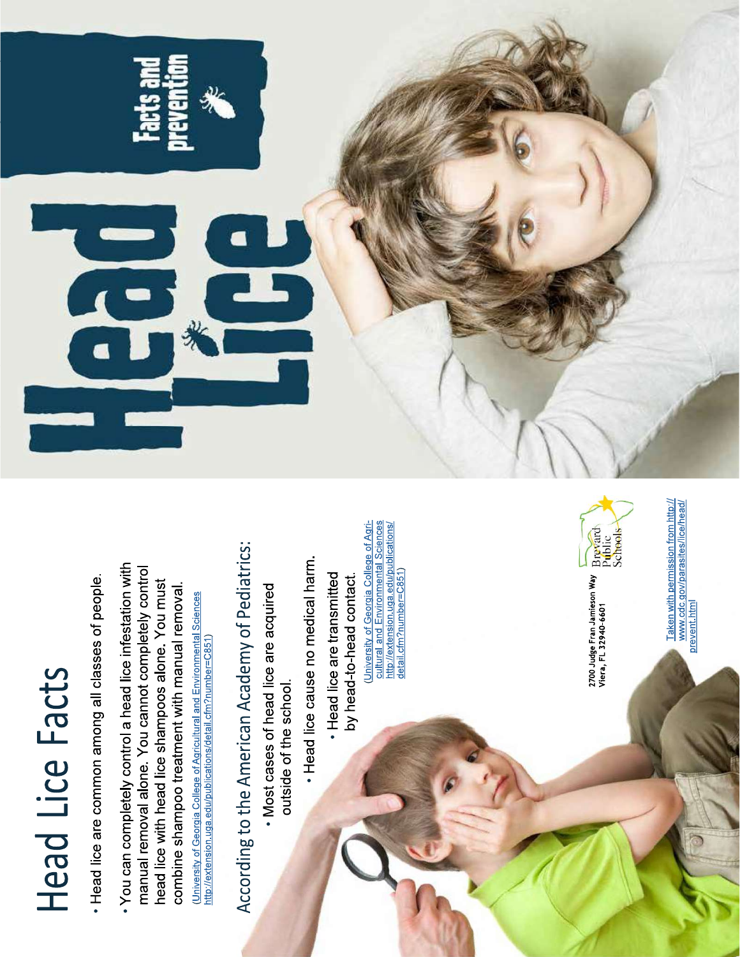# Head Lice Facts

- Head lice are common among all classes of people.
- . You can completely control a head lice infestation with manual removal alone. You cannot completely control head lice with head lice shampoos alone. You must combine shampoo treatment with manual removal. (University of Georgia College of Agricultural and Environmental Sciences http://extension.uga.edu/publications/detail.cfm?number=C851)

# According to the American Academy of Pediatrics:

- . Most cases of head lice are acquired outside of the school.
- · Head lice cause no medical harm.
- Head lice are transmitted by head-to-head contact

(University of Georgia College of Agri-<u>cultural and Environmental Sciences</u><br>http://extension.uga.edu/publications/<br>detail.cfm?number=C851)



Taken with permission from http://<br>www.cdc.gov/parasites/lice/head/<br>prevent.html

2700 Judge Fran Jamieson Way Brevard<br>Viera, FL 32940-6601<br>Schools

T